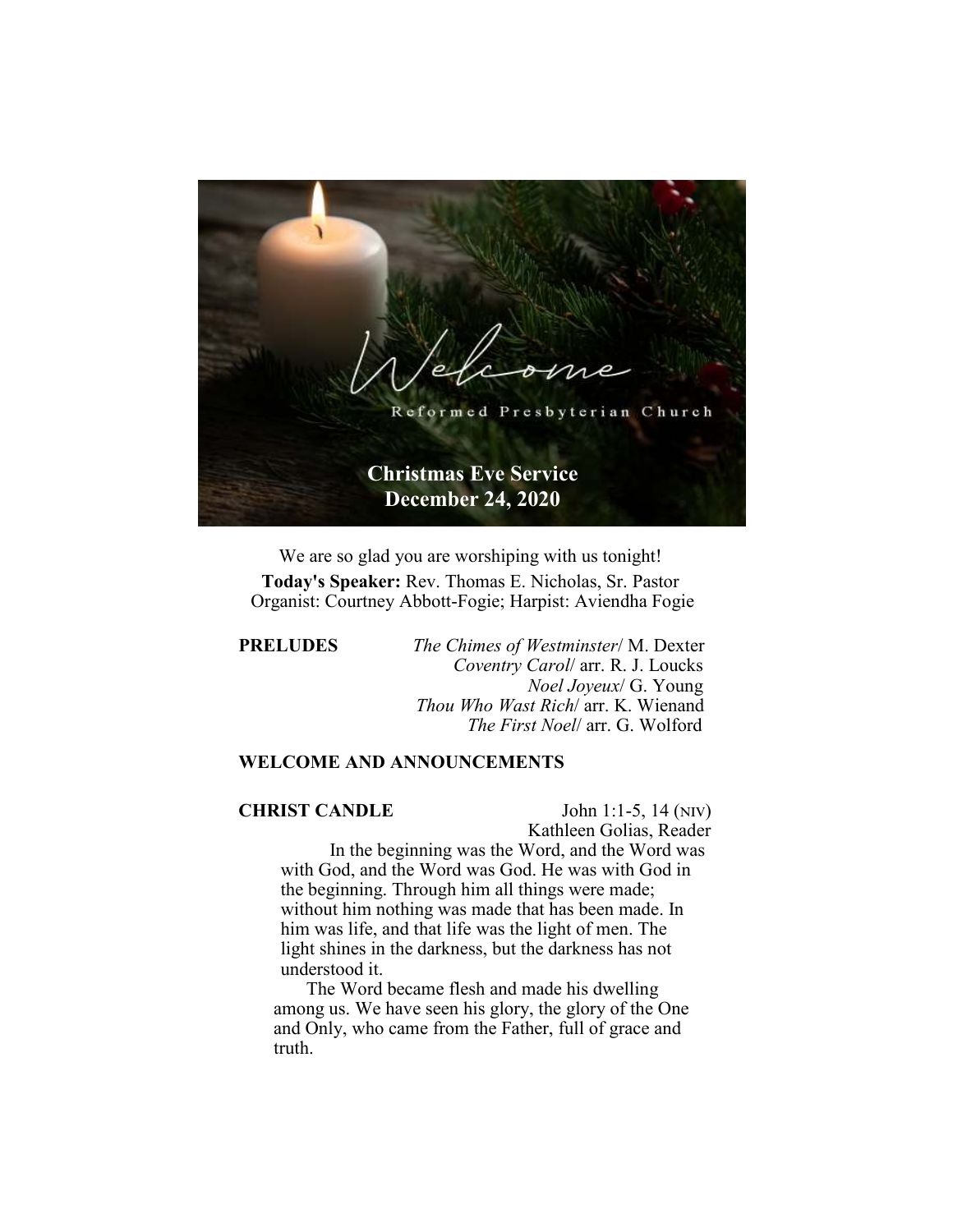

We are so glad you are worshiping with us tonight! **Today's Speaker:** Rev. Thomas E. Nicholas, Sr. Pastor Organist: Courtney Abbott-Fogie; Harpist: Aviendha Fogie

**PRELUDES** *The Chimes of Westminster*/ M. Dexter  *Coventry Carol*/ arr. R. J. Loucks  *Noel Joyeux*/ G. Young  *Thou Who Wast Rich*/ arr. K. Wienand  *The First Noel*/ arr. G. Wolford

# **WELCOME AND ANNOUNCEMENTS**

# **CHRIST CANDLE** John 1:1-5, 14 (NIV)

Kathleen Golias, Reader

In the beginning was the Word, and the Word was with God, and the Word was God. He was with God in the beginning. Through him all things were made; without him nothing was made that has been made. In him was life, and that life was the light of men. The light shines in the darkness, but the darkness has not understood it.

 The Word became flesh and made his dwelling among us. We have seen his glory, the glory of the One and Only, who came from the Father, full of grace and truth.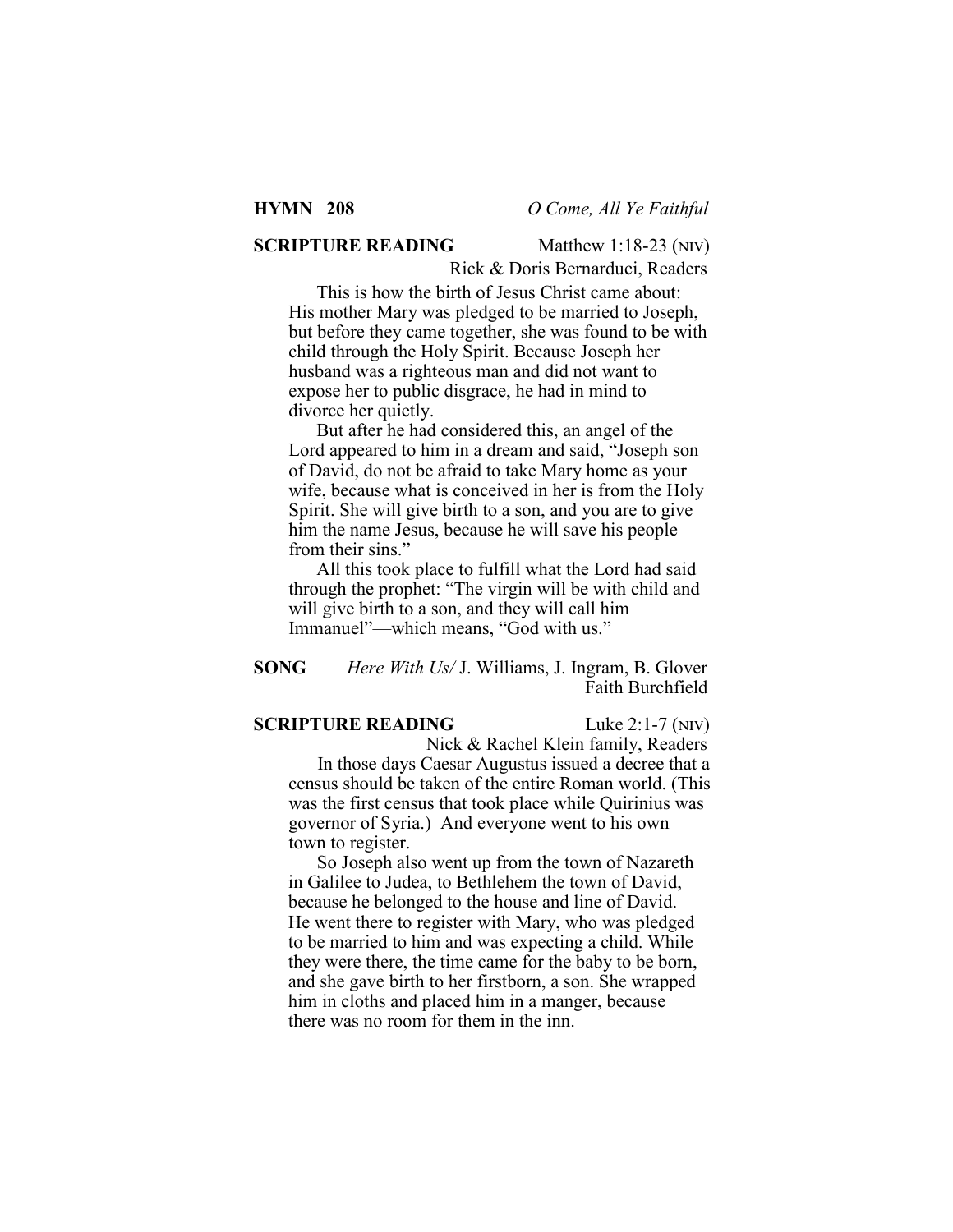# **SCRIPTURE READING** Matthew 1:18-23 (NIV)

Rick & Doris Bernarduci, Readers

This is how the birth of Jesus Christ came about: His mother Mary was pledged to be married to Joseph, but before they came together, she was found to be with child through the Holy Spirit. Because Joseph her husband was a righteous man and did not want to expose her to public disgrace, he had in mind to divorce her quietly.

But after he had considered this, an angel of the Lord appeared to him in a dream and said, "Joseph son of David, do not be afraid to take Mary home as your wife, because what is conceived in her is from the Holy Spirit. She will give birth to a son, and you are to give him the name Jesus, because he will save his people from their sins."

All this took place to fulfill what the Lord had said through the prophet: "The virgin will be with child and will give birth to a son, and they will call him Immanuel"—which means, "God with us."

# **SONG** *Here With Us/* J. Williams, J. Ingram, B. Glover Faith Burchfield

### **SCRIPTURE READING** Luke 2:1-7 (NIV)

 Nick & Rachel Klein family, Readers In those days Caesar Augustus issued a decree that a census should be taken of the entire Roman world. (This was the first census that took place while Quirinius was governor of Syria.) And everyone went to his own town to register.

So Joseph also went up from the town of Nazareth in Galilee to Judea, to Bethlehem the town of David, because he belonged to the house and line of David. He went there to register with Mary, who was pledged to be married to him and was expecting a child. While they were there, the time came for the baby to be born, and she gave birth to her firstborn, a son. She wrapped him in cloths and placed him in a manger, because there was no room for them in the inn.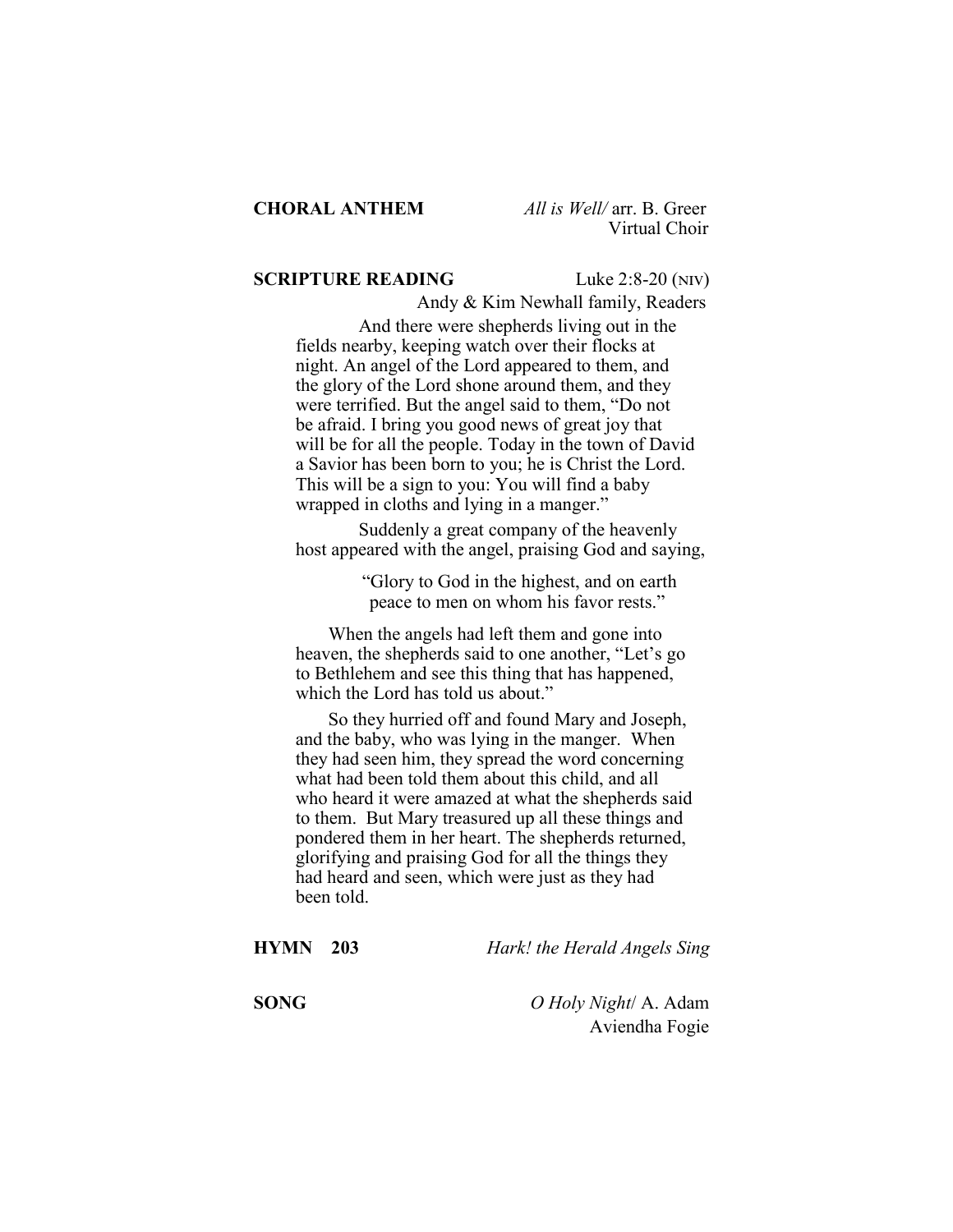#### **SCRIPTURE READING** Luke 2:8-20 (NIV)

Andy & Kim Newhall family, Readers

And there were shepherds living out in the fields nearby, keeping watch over their flocks at night. An angel of the Lord appeared to them, and the glory of the Lord shone around them, and they were terrified. But the angel said to them, "Do not be afraid. I bring you good news of great joy that will be for all the people. Today in the town of David a Savior has been born to you; he is Christ the Lord. This will be a sign to you: You will find a baby wrapped in cloths and lying in a manger."

Suddenly a great company of the heavenly host appeared with the angel, praising God and saying,

> "Glory to God in the highest, and on earth peace to men on whom his favor rests."

 When the angels had left them and gone into heaven, the shepherds said to one another, "Let's go to Bethlehem and see this thing that has happened, which the Lord has told us about."

 So they hurried off and found Mary and Joseph, and the baby, who was lying in the manger. When they had seen him, they spread the word concerning what had been told them about this child, and all who heard it were amazed at what the shepherds said to them. But Mary treasured up all these things and pondered them in her heart. The shepherds returned, glorifying and praising God for all the things they had heard and seen, which were just as they had been told.

| <b>HYMN</b> 203 | Hark! the Herald Angels Sing            |
|-----------------|-----------------------------------------|
| <b>SONG</b>     | O Holy Night/ A. Adam<br>Aviendha Fogie |
|                 |                                         |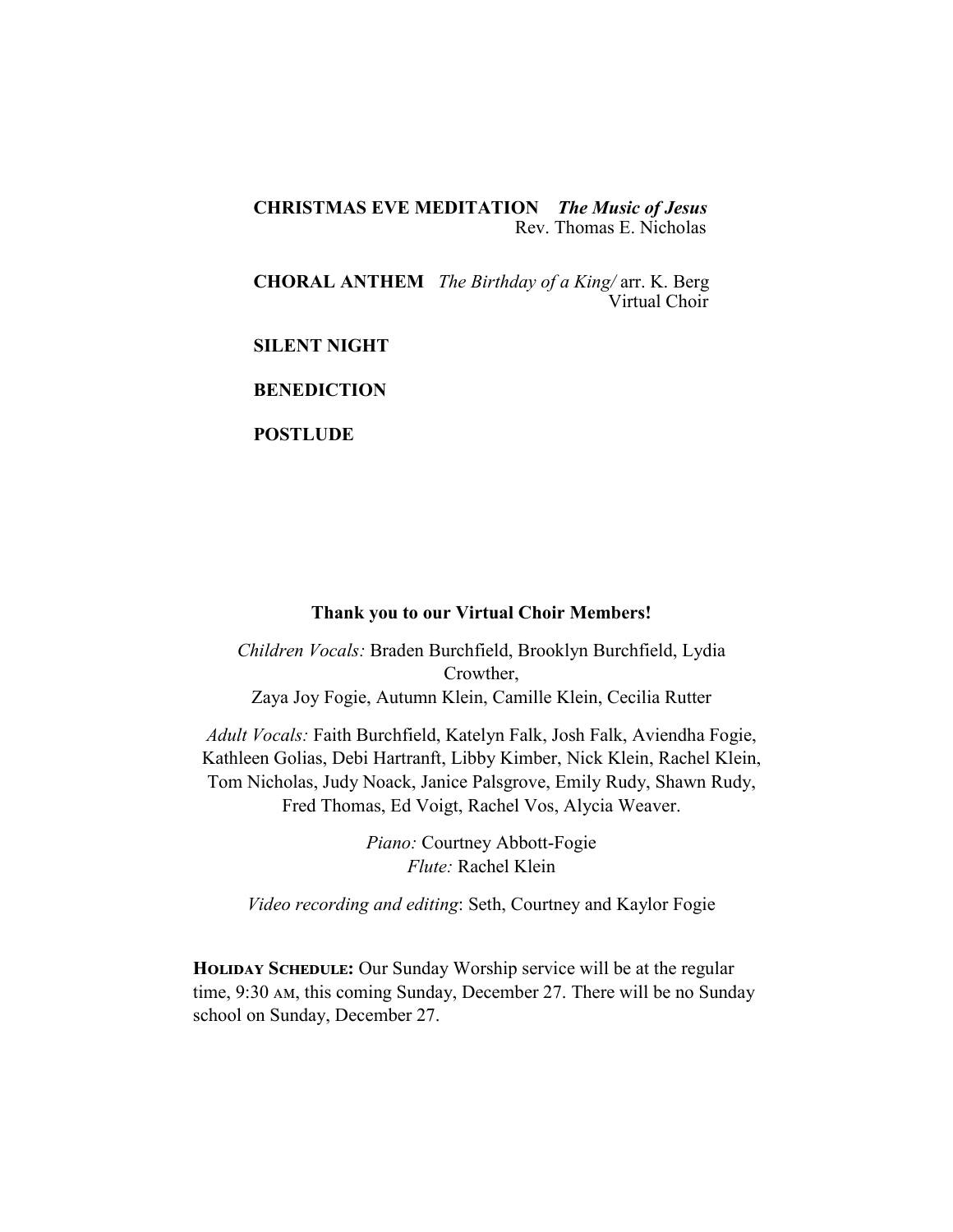**CHRISTMAS EVE MEDITATION** *The Music of Jesus* Rev. Thomas E. Nicholas

**CHORAL ANTHEM** *The Birthday of a King/* arr. K. Berg Virtual Choir

**SILENT NIGHT** 

**BENEDICTION** 

**POSTLUDE** 

# **Thank you to our Virtual Choir Members!**

*Children Vocals:* Braden Burchfield, Brooklyn Burchfield, Lydia Crowther, Zaya Joy Fogie, Autumn Klein, Camille Klein, Cecilia Rutter

*Adult Vocals:* Faith Burchfield, Katelyn Falk, Josh Falk, Aviendha Fogie, Kathleen Golias, Debi Hartranft, Libby Kimber, Nick Klein, Rachel Klein, Tom Nicholas, Judy Noack, Janice Palsgrove, Emily Rudy, Shawn Rudy, Fred Thomas, Ed Voigt, Rachel Vos, Alycia Weaver.

> *Piano:* Courtney Abbott-Fogie *Flute:* Rachel Klein

*Video recording and editing*: Seth, Courtney and Kaylor Fogie

**HOLIDAY SCHEDULE:** Our Sunday Worship service will be at the regular time, 9:30 AM, this coming Sunday, December 27. There will be no Sunday school on Sunday, December 27.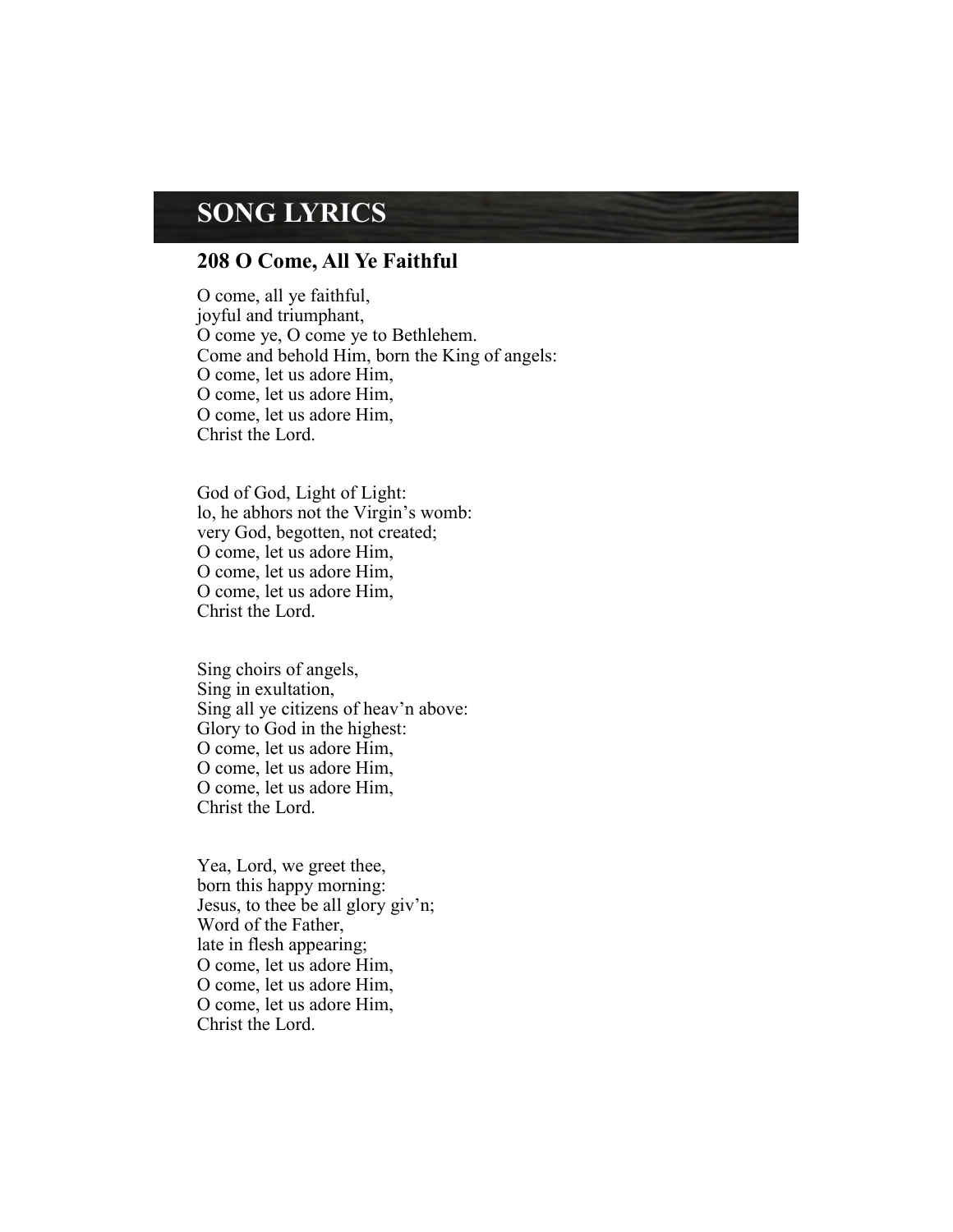# **SONG LYRICS**

# **208 O Come, All Ye Faithful**

O come, all ye faithful, joyful and triumphant, O come ye, O come ye to Bethlehem. Come and behold Him, born the King of angels: O come, let us adore Him, O come, let us adore Him, O come, let us adore Him, Christ the Lord.

God of God, Light of Light: lo, he abhors not the Virgin's womb: very God, begotten, not created; O come, let us adore Him, O come, let us adore Him, O come, let us adore Him, Christ the Lord.

Sing choirs of angels, Sing in exultation, Sing all ye citizens of heav'n above: Glory to God in the highest: O come, let us adore Him, O come, let us adore Him, O come, let us adore Him, Christ the Lord.

Yea, Lord, we greet thee, born this happy morning: Jesus, to thee be all glory giv'n; Word of the Father, late in flesh appearing; O come, let us adore Him, O come, let us adore Him, O come, let us adore Him, Christ the Lord.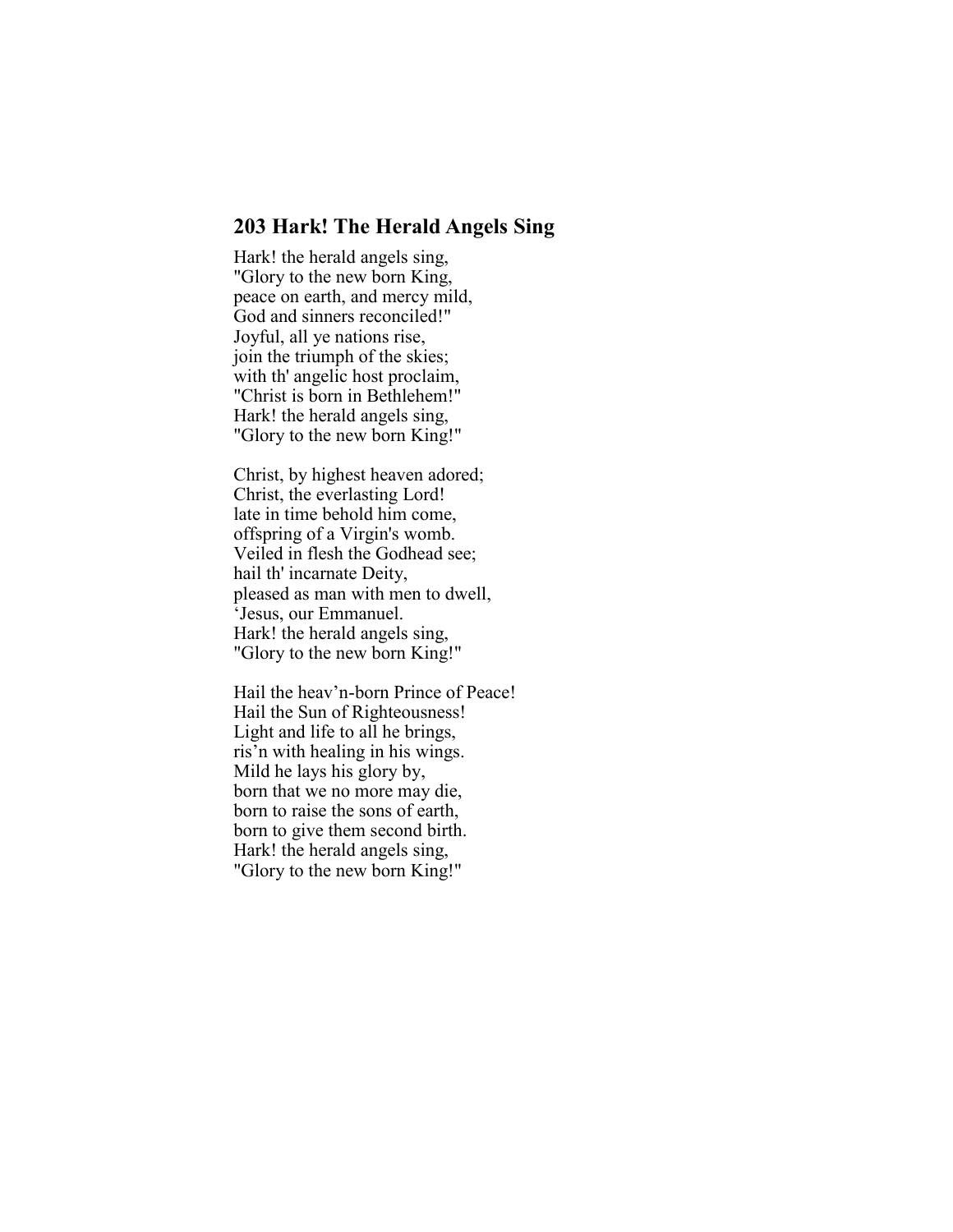# **203 Hark! The Herald Angels Sing**

Hark! the herald angels sing, "Glory to the new born King, peace on earth, and mercy mild, God and sinners reconciled!" Joyful, all ye nations rise, join the triumph of the skies; with th' angelic host proclaim, "Christ is born in Bethlehem!" Hark! the herald angels sing, "Glory to the new born King!"

Christ, by highest heaven adored; Christ, the everlasting Lord! late in time behold him come, offspring of a Virgin's womb. Veiled in flesh the Godhead see; hail th' incarnate Deity, pleased as man with men to dwell, 'Jesus, our Emmanuel. Hark! the herald angels sing, "Glory to the new born King!"

Hail the heav'n-born Prince of Peace! Hail the Sun of Righteousness! Light and life to all he brings, ris'n with healing in his wings. Mild he lays his glory by, born that we no more may die, born to raise the sons of earth, born to give them second birth. Hark! the herald angels sing, "Glory to the new born King!"